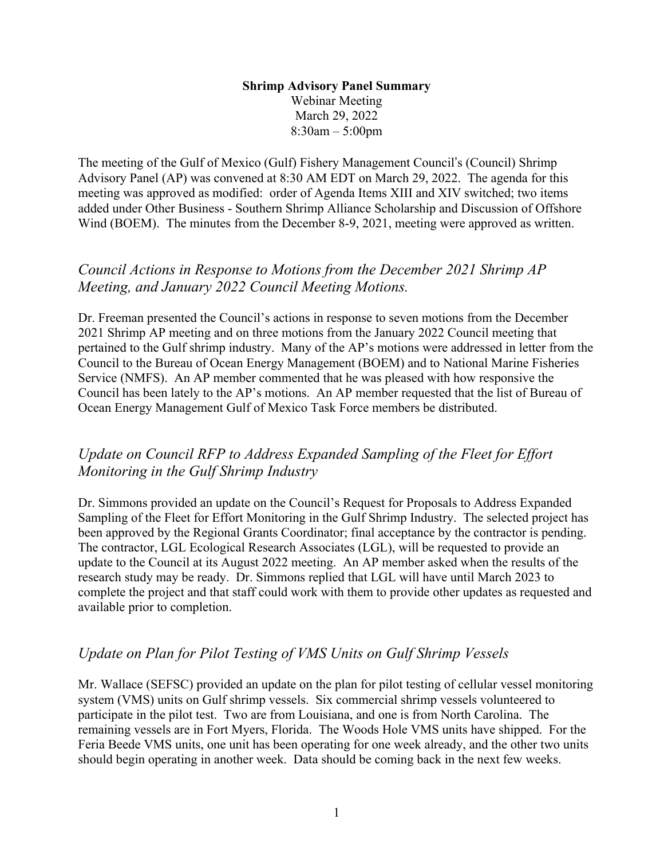### **Shrimp Advisory Panel Summary**  Webinar Meeting March 29, 2022 8:30am – 5:00pm

The meeting of the Gulf of Mexico (Gulf) Fishery Management Council's (Council) Shrimp Advisory Panel (AP) was convened at 8:30 AM EDT on March 29, 2022. The agenda for this meeting was approved as modified: order of Agenda Items XIII and XIV switched; two items added under Other Business - Southern Shrimp Alliance Scholarship and Discussion of Offshore Wind (BOEM). The minutes from the December 8-9, 2021, meeting were approved as written.

## *Council Actions in Response to Motions from the December 2021 Shrimp AP Meeting, and January 2022 Council Meeting Motions.*

Dr. Freeman presented the Council's actions in response to seven motions from the December 2021 Shrimp AP meeting and on three motions from the January 2022 Council meeting that pertained to the Gulf shrimp industry. Many of the AP's motions were addressed in letter from the Council to the Bureau of Ocean Energy Management (BOEM) and to National Marine Fisheries Service (NMFS). An AP member commented that he was pleased with how responsive the Council has been lately to the AP's motions. An AP member requested that the list of Bureau of Ocean Energy Management Gulf of Mexico Task Force members be distributed.

## *Update on Council RFP to Address Expanded Sampling of the Fleet for Effort Monitoring in the Gulf Shrimp Industry*

Dr. Simmons provided an update on the Council's Request for Proposals to Address Expanded Sampling of the Fleet for Effort Monitoring in the Gulf Shrimp Industry. The selected project has been approved by the Regional Grants Coordinator; final acceptance by the contractor is pending. The contractor, LGL Ecological Research Associates (LGL), will be requested to provide an update to the Council at its August 2022 meeting. An AP member asked when the results of the research study may be ready. Dr. Simmons replied that LGL will have until March 2023 to complete the project and that staff could work with them to provide other updates as requested and available prior to completion.

## *Update on Plan for Pilot Testing of VMS Units on Gulf Shrimp Vessels*

Mr. Wallace (SEFSC) provided an update on the plan for pilot testing of cellular vessel monitoring system (VMS) units on Gulf shrimp vessels. Six commercial shrimp vessels volunteered to participate in the pilot test. Two are from Louisiana, and one is from North Carolina. The remaining vessels are in Fort Myers, Florida. The Woods Hole VMS units have shipped. For the Feria Beede VMS units, one unit has been operating for one week already, and the other two units should begin operating in another week. Data should be coming back in the next few weeks.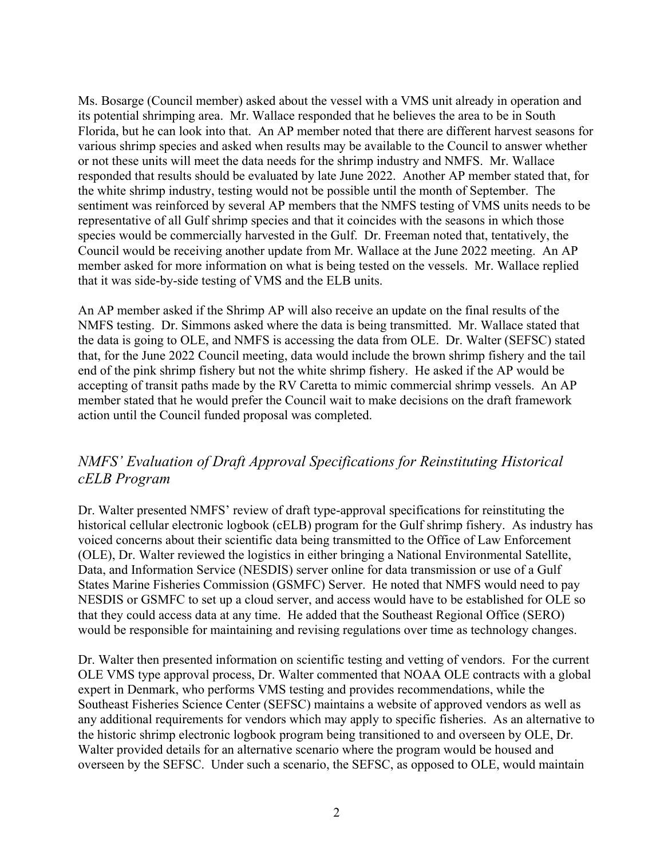Ms. Bosarge (Council member) asked about the vessel with a VMS unit already in operation and its potential shrimping area. Mr. Wallace responded that he believes the area to be in South Florida, but he can look into that. An AP member noted that there are different harvest seasons for various shrimp species and asked when results may be available to the Council to answer whether or not these units will meet the data needs for the shrimp industry and NMFS. Mr. Wallace responded that results should be evaluated by late June 2022. Another AP member stated that, for the white shrimp industry, testing would not be possible until the month of September. The sentiment was reinforced by several AP members that the NMFS testing of VMS units needs to be representative of all Gulf shrimp species and that it coincides with the seasons in which those species would be commercially harvested in the Gulf. Dr. Freeman noted that, tentatively, the Council would be receiving another update from Mr. Wallace at the June 2022 meeting. An AP member asked for more information on what is being tested on the vessels. Mr. Wallace replied that it was side-by-side testing of VMS and the ELB units.

An AP member asked if the Shrimp AP will also receive an update on the final results of the NMFS testing. Dr. Simmons asked where the data is being transmitted. Mr. Wallace stated that the data is going to OLE, and NMFS is accessing the data from OLE. Dr. Walter (SEFSC) stated that, for the June 2022 Council meeting, data would include the brown shrimp fishery and the tail end of the pink shrimp fishery but not the white shrimp fishery. He asked if the AP would be accepting of transit paths made by the RV Caretta to mimic commercial shrimp vessels. An AP member stated that he would prefer the Council wait to make decisions on the draft framework action until the Council funded proposal was completed.

# *NMFS' Evaluation of Draft Approval Specifications for Reinstituting Historical cELB Program*

Dr. Walter presented NMFS' review of draft type-approval specifications for reinstituting the historical cellular electronic logbook (cELB) program for the Gulf shrimp fishery. As industry has voiced concerns about their scientific data being transmitted to the Office of Law Enforcement (OLE), Dr. Walter reviewed the logistics in either bringing a National Environmental Satellite, Data, and Information Service (NESDIS) server online for data transmission or use of a Gulf States Marine Fisheries Commission (GSMFC) Server. He noted that NMFS would need to pay NESDIS or GSMFC to set up a cloud server, and access would have to be established for OLE so that they could access data at any time. He added that the Southeast Regional Office (SERO) would be responsible for maintaining and revising regulations over time as technology changes.

Dr. Walter then presented information on scientific testing and vetting of vendors. For the current OLE VMS type approval process, Dr. Walter commented that NOAA OLE contracts with a global expert in Denmark, who performs VMS testing and provides recommendations, while the Southeast Fisheries Science Center (SEFSC) maintains a website of approved vendors as well as any additional requirements for vendors which may apply to specific fisheries. As an alternative to the historic shrimp electronic logbook program being transitioned to and overseen by OLE, Dr. Walter provided details for an alternative scenario where the program would be housed and overseen by the SEFSC. Under such a scenario, the SEFSC, as opposed to OLE, would maintain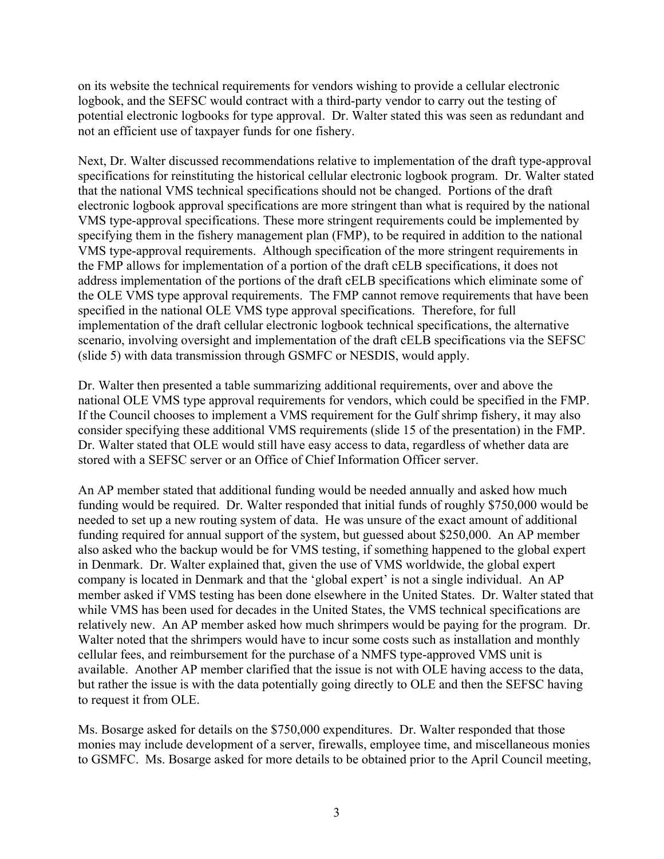on its website the technical requirements for vendors wishing to provide a cellular electronic logbook, and the SEFSC would contract with a third-party vendor to carry out the testing of potential electronic logbooks for type approval. Dr. Walter stated this was seen as redundant and not an efficient use of taxpayer funds for one fishery.

Next, Dr. Walter discussed recommendations relative to implementation of the draft type-approval specifications for reinstituting the historical cellular electronic logbook program. Dr. Walter stated that the national VMS technical specifications should not be changed. Portions of the draft electronic logbook approval specifications are more stringent than what is required by the national VMS type-approval specifications. These more stringent requirements could be implemented by specifying them in the fishery management plan (FMP), to be required in addition to the national VMS type-approval requirements. Although specification of the more stringent requirements in the FMP allows for implementation of a portion of the draft cELB specifications, it does not address implementation of the portions of the draft cELB specifications which eliminate some of the OLE VMS type approval requirements. The FMP cannot remove requirements that have been specified in the national OLE VMS type approval specifications. Therefore, for full implementation of the draft cellular electronic logbook technical specifications, the alternative scenario, involving oversight and implementation of the draft cELB specifications via the SEFSC (slide 5) with data transmission through GSMFC or NESDIS, would apply.

Dr. Walter then presented a table summarizing additional requirements, over and above the national OLE VMS type approval requirements for vendors, which could be specified in the FMP. If the Council chooses to implement a VMS requirement for the Gulf shrimp fishery, it may also consider specifying these additional VMS requirements (slide 15 of the presentation) in the FMP. Dr. Walter stated that OLE would still have easy access to data, regardless of whether data are stored with a SEFSC server or an Office of Chief Information Officer server.

An AP member stated that additional funding would be needed annually and asked how much funding would be required. Dr. Walter responded that initial funds of roughly \$750,000 would be needed to set up a new routing system of data. He was unsure of the exact amount of additional funding required for annual support of the system, but guessed about \$250,000. An AP member also asked who the backup would be for VMS testing, if something happened to the global expert in Denmark. Dr. Walter explained that, given the use of VMS worldwide, the global expert company is located in Denmark and that the 'global expert' is not a single individual. An AP member asked if VMS testing has been done elsewhere in the United States. Dr. Walter stated that while VMS has been used for decades in the United States, the VMS technical specifications are relatively new. An AP member asked how much shrimpers would be paying for the program. Dr. Walter noted that the shrimpers would have to incur some costs such as installation and monthly cellular fees, and reimbursement for the purchase of a NMFS type-approved VMS unit is available. Another AP member clarified that the issue is not with OLE having access to the data, but rather the issue is with the data potentially going directly to OLE and then the SEFSC having to request it from OLE.

Ms. Bosarge asked for details on the \$750,000 expenditures. Dr. Walter responded that those monies may include development of a server, firewalls, employee time, and miscellaneous monies to GSMFC. Ms. Bosarge asked for more details to be obtained prior to the April Council meeting,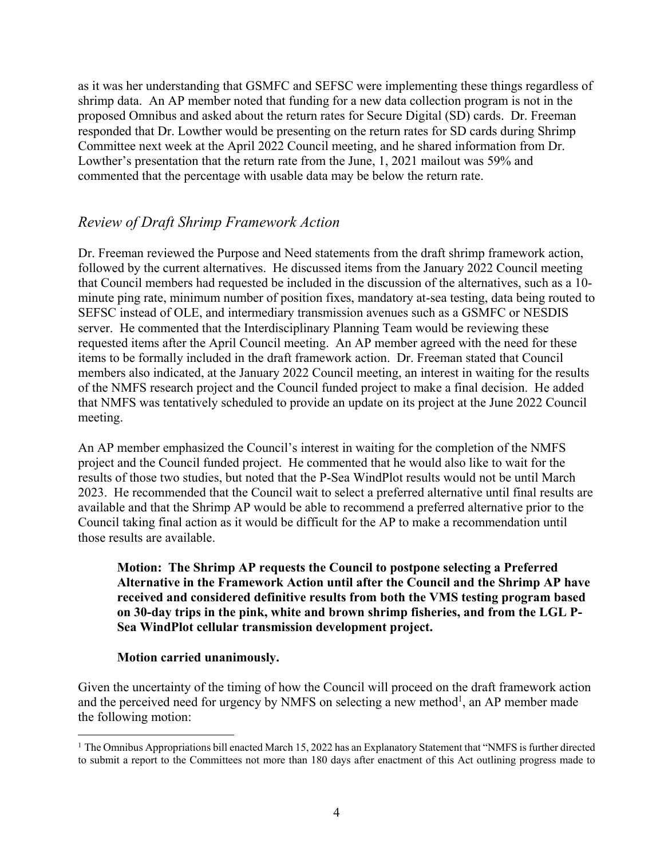as it was her understanding that GSMFC and SEFSC were implementing these things regardless of shrimp data. An AP member noted that funding for a new data collection program is not in the proposed Omnibus and asked about the return rates for Secure Digital (SD) cards. Dr. Freeman responded that Dr. Lowther would be presenting on the return rates for SD cards during Shrimp Committee next week at the April 2022 Council meeting, and he shared information from Dr. Lowther's presentation that the return rate from the June, 1, 2021 mailout was 59% and commented that the percentage with usable data may be below the return rate.

## *Review of Draft Shrimp Framework Action*

Dr. Freeman reviewed the Purpose and Need statements from the draft shrimp framework action, followed by the current alternatives. He discussed items from the January 2022 Council meeting that Council members had requested be included in the discussion of the alternatives, such as a 10 minute ping rate, minimum number of position fixes, mandatory at-sea testing, data being routed to SEFSC instead of OLE, and intermediary transmission avenues such as a GSMFC or NESDIS server. He commented that the Interdisciplinary Planning Team would be reviewing these requested items after the April Council meeting. An AP member agreed with the need for these items to be formally included in the draft framework action. Dr. Freeman stated that Council members also indicated, at the January 2022 Council meeting, an interest in waiting for the results of the NMFS research project and the Council funded project to make a final decision. He added that NMFS was tentatively scheduled to provide an update on its project at the June 2022 Council meeting.

An AP member emphasized the Council's interest in waiting for the completion of the NMFS project and the Council funded project. He commented that he would also like to wait for the results of those two studies, but noted that the P-Sea WindPlot results would not be until March 2023. He recommended that the Council wait to select a preferred alternative until final results are available and that the Shrimp AP would be able to recommend a preferred alternative prior to the Council taking final action as it would be difficult for the AP to make a recommendation until those results are available.

### **Motion: The Shrimp AP requests the Council to postpone selecting a Preferred Alternative in the Framework Action until after the Council and the Shrimp AP have received and considered definitive results from both the VMS testing program based on 30-day trips in the pink, white and brown shrimp fisheries, and from the LGL P-Sea WindPlot cellular transmission development project.**

### **Motion carried unanimously.**

Given the uncertainty of the timing of how the Council will proceed on the draft framework action and the perceived need for urgency by NMFS on selecting a new method<sup>1</sup>, an AP member made the following motion:

 $\overline{a}$ <sup>1</sup> The Omnibus Appropriations bill enacted March 15, 2022 has an Explanatory Statement that "NMFS is further directed to submit a report to the Committees not more than 180 days after enactment of this Act outlining progress made to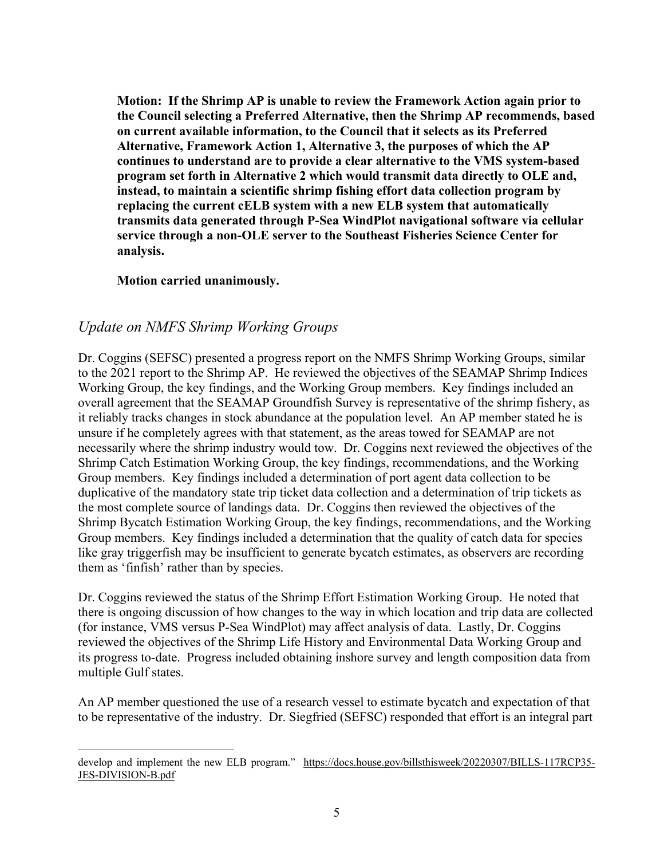**Motion: If the Shrimp AP is unable to review the Framework Action again prior to the Council selecting a Preferred Alternative, then the Shrimp AP recommends, based on current available information, to the Council that it selects as its Preferred Alternative, Framework Action 1, Alternative 3, the purposes of which the AP continues to understand are to provide a clear alternative to the VMS system-based program set forth in Alternative 2 which would transmit data directly to OLE and, instead, to maintain a scientific shrimp fishing effort data collection program by replacing the current cELB system with a new ELB system that automatically transmits data generated through P-Sea WindPlot navigational software via cellular service through a non-OLE server to the Southeast Fisheries Science Center for analysis.** 

### **Motion carried unanimously.**

 $\overline{a}$ 

## *Update on NMFS Shrimp Working Groups*

Dr. Coggins (SEFSC) presented a progress report on the NMFS Shrimp Working Groups, similar to the 2021 report to the Shrimp AP. He reviewed the objectives of the SEAMAP Shrimp Indices Working Group, the key findings, and the Working Group members. Key findings included an overall agreement that the SEAMAP Groundfish Survey is representative of the shrimp fishery, as it reliably tracks changes in stock abundance at the population level. An AP member stated he is unsure if he completely agrees with that statement, as the areas towed for SEAMAP are not necessarily where the shrimp industry would tow. Dr. Coggins next reviewed the objectives of the Shrimp Catch Estimation Working Group, the key findings, recommendations, and the Working Group members. Key findings included a determination of port agent data collection to be duplicative of the mandatory state trip ticket data collection and a determination of trip tickets as the most complete source of landings data. Dr. Coggins then reviewed the objectives of the Shrimp Bycatch Estimation Working Group, the key findings, recommendations, and the Working Group members. Key findings included a determination that the quality of catch data for species like gray triggerfish may be insufficient to generate bycatch estimates, as observers are recording them as 'finfish' rather than by species.

Dr. Coggins reviewed the status of the Shrimp Effort Estimation Working Group. He noted that there is ongoing discussion of how changes to the way in which location and trip data are collected (for instance, VMS versus P-Sea WindPlot) may affect analysis of data. Lastly, Dr. Coggins reviewed the objectives of the Shrimp Life History and Environmental Data Working Group and its progress to-date. Progress included obtaining inshore survey and length composition data from multiple Gulf states.

An AP member questioned the use of a research vessel to estimate bycatch and expectation of that to be representative of the industry. Dr. Siegfried (SEFSC) responded that effort is an integral part

develop and implement the new ELB program." https://docs.house.gov/billsthisweek/20220307/BILLS-117RCP35-JES-DIVISION-B.pdf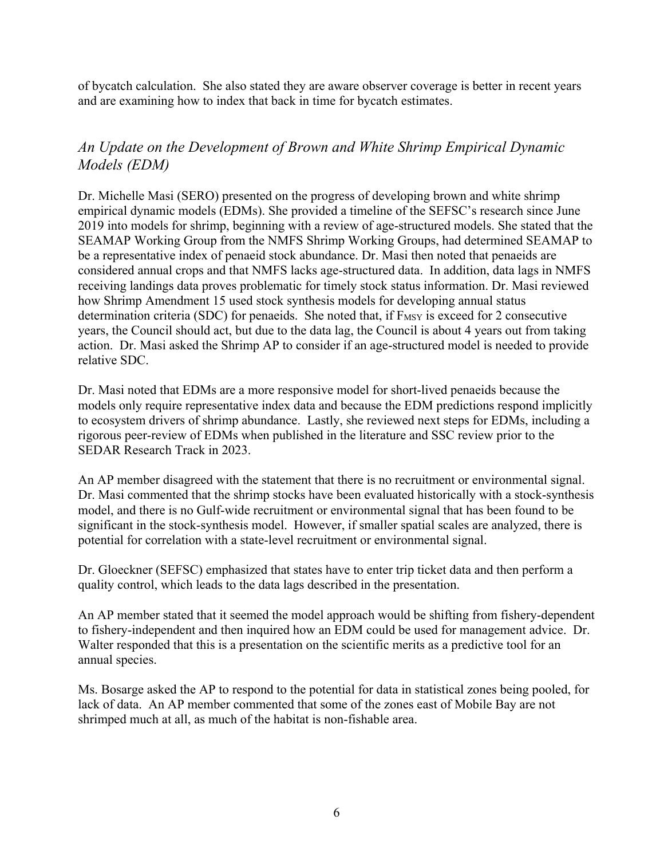of bycatch calculation. She also stated they are aware observer coverage is better in recent years and are examining how to index that back in time for bycatch estimates.

## *An Update on the Development of Brown and White Shrimp Empirical Dynamic Models (EDM)*

Dr. Michelle Masi (SERO) presented on the progress of developing brown and white shrimp empirical dynamic models (EDMs). She provided a timeline of the SEFSC's research since June 2019 into models for shrimp, beginning with a review of age-structured models. She stated that the SEAMAP Working Group from the NMFS Shrimp Working Groups, had determined SEAMAP to be a representative index of penaeid stock abundance. Dr. Masi then noted that penaeids are considered annual crops and that NMFS lacks age-structured data. In addition, data lags in NMFS receiving landings data proves problematic for timely stock status information. Dr. Masi reviewed how Shrimp Amendment 15 used stock synthesis models for developing annual status determination criteria (SDC) for penaeids. She noted that, if F<sub>MSY</sub> is exceed for 2 consecutive years, the Council should act, but due to the data lag, the Council is about 4 years out from taking action. Dr. Masi asked the Shrimp AP to consider if an age-structured model is needed to provide relative SDC.

Dr. Masi noted that EDMs are a more responsive model for short-lived penaeids because the models only require representative index data and because the EDM predictions respond implicitly to ecosystem drivers of shrimp abundance. Lastly, she reviewed next steps for EDMs, including a rigorous peer-review of EDMs when published in the literature and SSC review prior to the SEDAR Research Track in 2023.

An AP member disagreed with the statement that there is no recruitment or environmental signal. Dr. Masi commented that the shrimp stocks have been evaluated historically with a stock-synthesis model, and there is no Gulf-wide recruitment or environmental signal that has been found to be significant in the stock-synthesis model. However, if smaller spatial scales are analyzed, there is potential for correlation with a state-level recruitment or environmental signal.

Dr. Gloeckner (SEFSC) emphasized that states have to enter trip ticket data and then perform a quality control, which leads to the data lags described in the presentation.

An AP member stated that it seemed the model approach would be shifting from fishery-dependent to fishery-independent and then inquired how an EDM could be used for management advice. Dr. Walter responded that this is a presentation on the scientific merits as a predictive tool for an annual species.

Ms. Bosarge asked the AP to respond to the potential for data in statistical zones being pooled, for lack of data. An AP member commented that some of the zones east of Mobile Bay are not shrimped much at all, as much of the habitat is non-fishable area.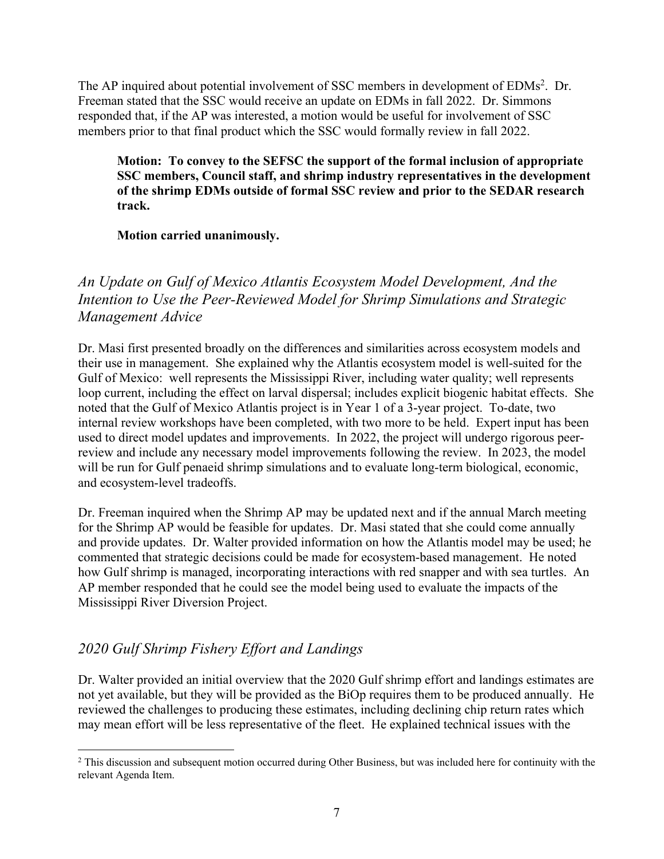The AP inquired about potential involvement of SSC members in development of EDMs<sup>2</sup>. Dr. Freeman stated that the SSC would receive an update on EDMs in fall 2022. Dr. Simmons responded that, if the AP was interested, a motion would be useful for involvement of SSC members prior to that final product which the SSC would formally review in fall 2022.

**Motion: To convey to the SEFSC the support of the formal inclusion of appropriate SSC members, Council staff, and shrimp industry representatives in the development of the shrimp EDMs outside of formal SSC review and prior to the SEDAR research track.** 

**Motion carried unanimously.** 

# *An Update on Gulf of Mexico Atlantis Ecosystem Model Development, And the Intention to Use the Peer-Reviewed Model for Shrimp Simulations and Strategic Management Advice*

Dr. Masi first presented broadly on the differences and similarities across ecosystem models and their use in management. She explained why the Atlantis ecosystem model is well-suited for the Gulf of Mexico: well represents the Mississippi River, including water quality; well represents loop current, including the effect on larval dispersal; includes explicit biogenic habitat effects. She noted that the Gulf of Mexico Atlantis project is in Year 1 of a 3-year project. To-date, two internal review workshops have been completed, with two more to be held. Expert input has been used to direct model updates and improvements. In 2022, the project will undergo rigorous peerreview and include any necessary model improvements following the review. In 2023, the model will be run for Gulf penaeid shrimp simulations and to evaluate long-term biological, economic, and ecosystem-level tradeoffs.

Dr. Freeman inquired when the Shrimp AP may be updated next and if the annual March meeting for the Shrimp AP would be feasible for updates. Dr. Masi stated that she could come annually and provide updates. Dr. Walter provided information on how the Atlantis model may be used; he commented that strategic decisions could be made for ecosystem-based management. He noted how Gulf shrimp is managed, incorporating interactions with red snapper and with sea turtles. An AP member responded that he could see the model being used to evaluate the impacts of the Mississippi River Diversion Project.

# *2020 Gulf Shrimp Fishery Effort and Landings*

 $\overline{a}$ 

Dr. Walter provided an initial overview that the 2020 Gulf shrimp effort and landings estimates are not yet available, but they will be provided as the BiOp requires them to be produced annually. He reviewed the challenges to producing these estimates, including declining chip return rates which may mean effort will be less representative of the fleet. He explained technical issues with the

<sup>&</sup>lt;sup>2</sup> This discussion and subsequent motion occurred during Other Business, but was included here for continuity with the relevant Agenda Item.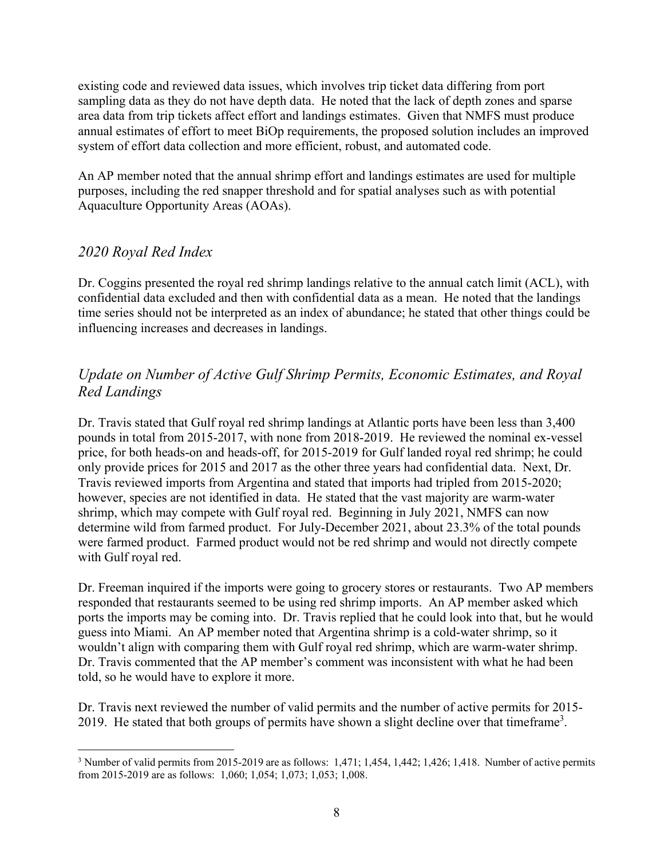existing code and reviewed data issues, which involves trip ticket data differing from port sampling data as they do not have depth data. He noted that the lack of depth zones and sparse area data from trip tickets affect effort and landings estimates. Given that NMFS must produce annual estimates of effort to meet BiOp requirements, the proposed solution includes an improved system of effort data collection and more efficient, robust, and automated code.

An AP member noted that the annual shrimp effort and landings estimates are used for multiple purposes, including the red snapper threshold and for spatial analyses such as with potential Aquaculture Opportunity Areas (AOAs).

## *2020 Royal Red Index*

Dr. Coggins presented the royal red shrimp landings relative to the annual catch limit (ACL), with confidential data excluded and then with confidential data as a mean. He noted that the landings time series should not be interpreted as an index of abundance; he stated that other things could be influencing increases and decreases in landings.

# *Update on Number of Active Gulf Shrimp Permits, Economic Estimates, and Royal Red Landings*

Dr. Travis stated that Gulf royal red shrimp landings at Atlantic ports have been less than 3,400 pounds in total from 2015-2017, with none from 2018-2019. He reviewed the nominal ex-vessel price, for both heads-on and heads-off, for 2015-2019 for Gulf landed royal red shrimp; he could only provide prices for 2015 and 2017 as the other three years had confidential data. Next, Dr. Travis reviewed imports from Argentina and stated that imports had tripled from 2015-2020; however, species are not identified in data. He stated that the vast majority are warm-water shrimp, which may compete with Gulf royal red. Beginning in July 2021, NMFS can now determine wild from farmed product. For July-December 2021, about 23.3% of the total pounds were farmed product. Farmed product would not be red shrimp and would not directly compete with Gulf royal red.

Dr. Freeman inquired if the imports were going to grocery stores or restaurants. Two AP members responded that restaurants seemed to be using red shrimp imports. An AP member asked which ports the imports may be coming into. Dr. Travis replied that he could look into that, but he would guess into Miami. An AP member noted that Argentina shrimp is a cold-water shrimp, so it wouldn't align with comparing them with Gulf royal red shrimp, which are warm-water shrimp. Dr. Travis commented that the AP member's comment was inconsistent with what he had been told, so he would have to explore it more.

Dr. Travis next reviewed the number of valid permits and the number of active permits for 2015- 2019. He stated that both groups of permits have shown a slight decline over that timeframe<sup>3</sup>.

<sup>&</sup>lt;u>.</u> <sup>3</sup> Number of valid permits from 2015-2019 are as follows:  $1,471$ ;  $1,454$ ,  $1,442$ ;  $1,426$ ;  $1,418$ . Number of active permits from 2015-2019 are as follows: 1,060; 1,054; 1,073; 1,053; 1,008.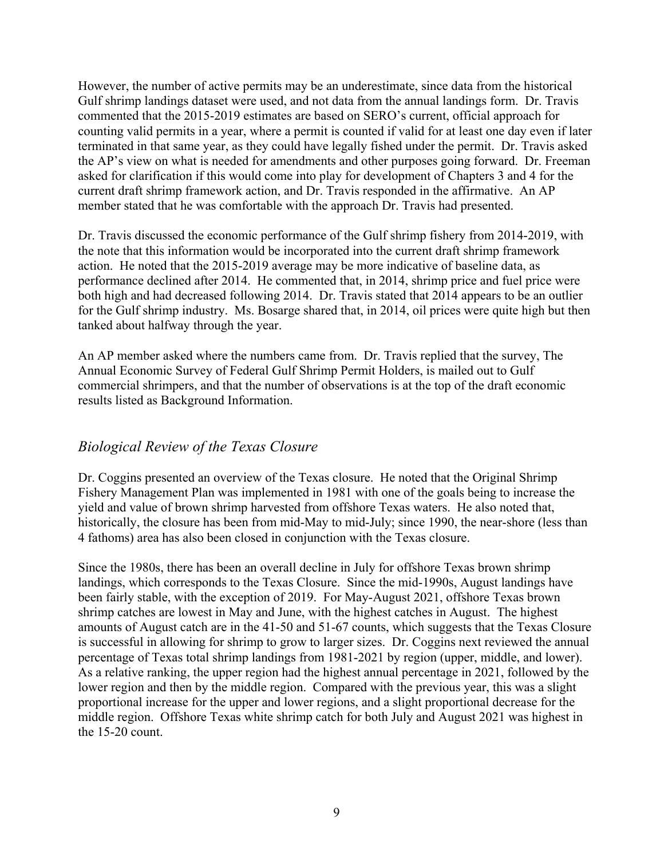However, the number of active permits may be an underestimate, since data from the historical Gulf shrimp landings dataset were used, and not data from the annual landings form. Dr. Travis commented that the 2015-2019 estimates are based on SERO's current, official approach for counting valid permits in a year, where a permit is counted if valid for at least one day even if later terminated in that same year, as they could have legally fished under the permit. Dr. Travis asked the AP's view on what is needed for amendments and other purposes going forward. Dr. Freeman asked for clarification if this would come into play for development of Chapters 3 and 4 for the current draft shrimp framework action, and Dr. Travis responded in the affirmative. An AP member stated that he was comfortable with the approach Dr. Travis had presented.

Dr. Travis discussed the economic performance of the Gulf shrimp fishery from 2014-2019, with the note that this information would be incorporated into the current draft shrimp framework action. He noted that the 2015-2019 average may be more indicative of baseline data, as performance declined after 2014. He commented that, in 2014, shrimp price and fuel price were both high and had decreased following 2014. Dr. Travis stated that 2014 appears to be an outlier for the Gulf shrimp industry. Ms. Bosarge shared that, in 2014, oil prices were quite high but then tanked about halfway through the year.

An AP member asked where the numbers came from. Dr. Travis replied that the survey, The Annual Economic Survey of Federal Gulf Shrimp Permit Holders, is mailed out to Gulf commercial shrimpers, and that the number of observations is at the top of the draft economic results listed as Background Information.

## *Biological Review of the Texas Closure*

Dr. Coggins presented an overview of the Texas closure. He noted that the Original Shrimp Fishery Management Plan was implemented in 1981 with one of the goals being to increase the yield and value of brown shrimp harvested from offshore Texas waters. He also noted that, historically, the closure has been from mid-May to mid-July; since 1990, the near-shore (less than 4 fathoms) area has also been closed in conjunction with the Texas closure.

Since the 1980s, there has been an overall decline in July for offshore Texas brown shrimp landings, which corresponds to the Texas Closure. Since the mid-1990s, August landings have been fairly stable, with the exception of 2019. For May-August 2021, offshore Texas brown shrimp catches are lowest in May and June, with the highest catches in August. The highest amounts of August catch are in the 41-50 and 51-67 counts, which suggests that the Texas Closure is successful in allowing for shrimp to grow to larger sizes. Dr. Coggins next reviewed the annual percentage of Texas total shrimp landings from 1981-2021 by region (upper, middle, and lower). As a relative ranking, the upper region had the highest annual percentage in 2021, followed by the lower region and then by the middle region. Compared with the previous year, this was a slight proportional increase for the upper and lower regions, and a slight proportional decrease for the middle region. Offshore Texas white shrimp catch for both July and August 2021 was highest in the 15-20 count.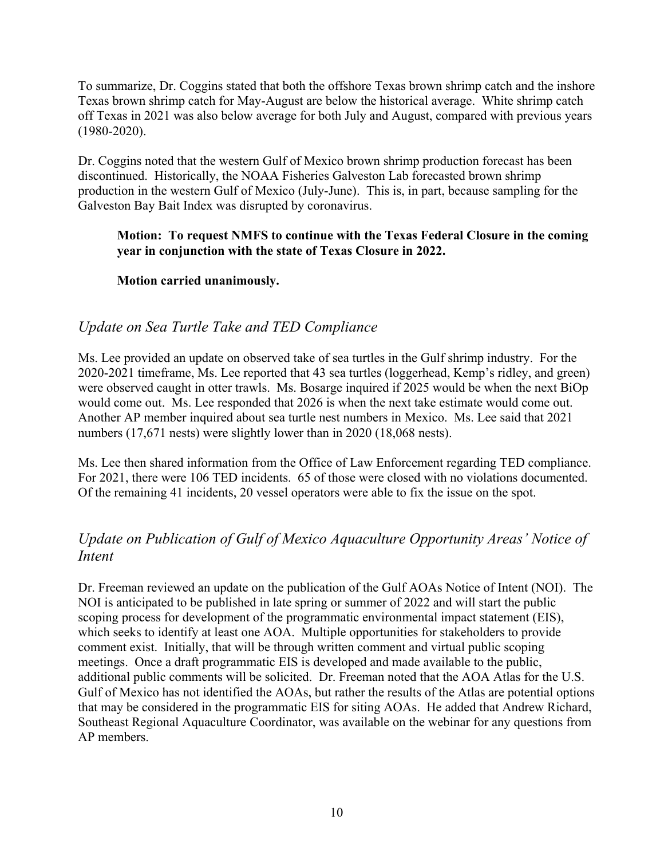To summarize, Dr. Coggins stated that both the offshore Texas brown shrimp catch and the inshore Texas brown shrimp catch for May-August are below the historical average. White shrimp catch off Texas in 2021 was also below average for both July and August, compared with previous years (1980-2020).

Dr. Coggins noted that the western Gulf of Mexico brown shrimp production forecast has been discontinued. Historically, the NOAA Fisheries Galveston Lab forecasted brown shrimp production in the western Gulf of Mexico (July-June). This is, in part, because sampling for the Galveston Bay Bait Index was disrupted by coronavirus.

### **Motion: To request NMFS to continue with the Texas Federal Closure in the coming year in conjunction with the state of Texas Closure in 2022.**

## **Motion carried unanimously.**

## *Update on Sea Turtle Take and TED Compliance*

Ms. Lee provided an update on observed take of sea turtles in the Gulf shrimp industry. For the 2020-2021 timeframe, Ms. Lee reported that 43 sea turtles (loggerhead, Kemp's ridley, and green) were observed caught in otter trawls. Ms. Bosarge inquired if 2025 would be when the next BiOp would come out. Ms. Lee responded that 2026 is when the next take estimate would come out. Another AP member inquired about sea turtle nest numbers in Mexico. Ms. Lee said that 2021 numbers (17,671 nests) were slightly lower than in 2020 (18,068 nests).

Ms. Lee then shared information from the Office of Law Enforcement regarding TED compliance. For 2021, there were 106 TED incidents. 65 of those were closed with no violations documented. Of the remaining 41 incidents, 20 vessel operators were able to fix the issue on the spot.

# *Update on Publication of Gulf of Mexico Aquaculture Opportunity Areas' Notice of Intent*

Dr. Freeman reviewed an update on the publication of the Gulf AOAs Notice of Intent (NOI). The NOI is anticipated to be published in late spring or summer of 2022 and will start the public scoping process for development of the programmatic environmental impact statement (EIS), which seeks to identify at least one AOA. Multiple opportunities for stakeholders to provide comment exist. Initially, that will be through written comment and virtual public scoping meetings. Once a draft programmatic EIS is developed and made available to the public, additional public comments will be solicited. Dr. Freeman noted that the AOA Atlas for the U.S. Gulf of Mexico has not identified the AOAs, but rather the results of the Atlas are potential options that may be considered in the programmatic EIS for siting AOAs. He added that Andrew Richard, Southeast Regional Aquaculture Coordinator, was available on the webinar for any questions from AP members.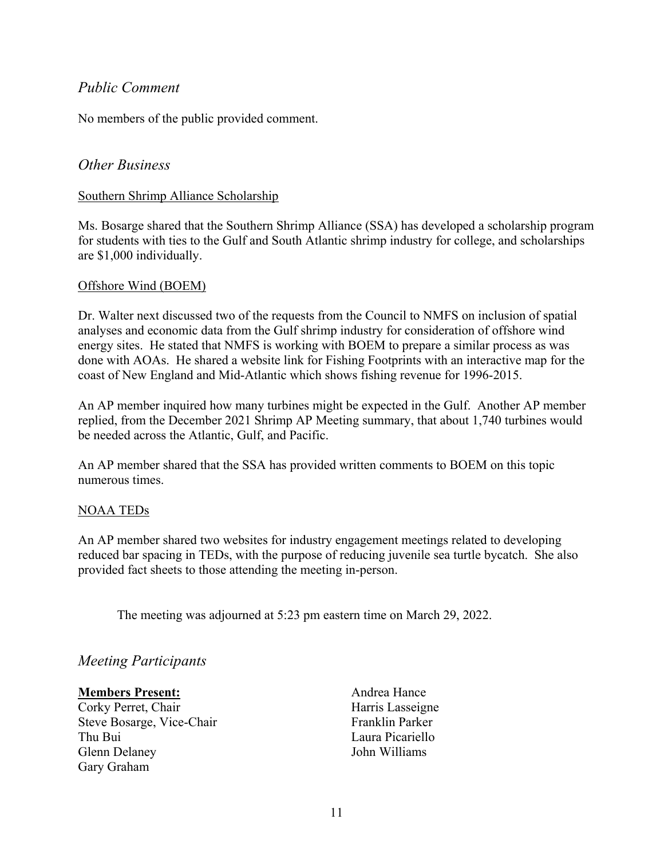## *Public Comment*

No members of the public provided comment.

### *Other Business*

### Southern Shrimp Alliance Scholarship

Ms. Bosarge shared that the Southern Shrimp Alliance (SSA) has developed a scholarship program for students with ties to the Gulf and South Atlantic shrimp industry for college, and scholarships are \$1,000 individually.

### Offshore Wind (BOEM)

Dr. Walter next discussed two of the requests from the Council to NMFS on inclusion of spatial analyses and economic data from the Gulf shrimp industry for consideration of offshore wind energy sites. He stated that NMFS is working with BOEM to prepare a similar process as was done with AOAs. He shared a website link for Fishing Footprints with an interactive map for the coast of New England and Mid-Atlantic which shows fishing revenue for 1996-2015.

An AP member inquired how many turbines might be expected in the Gulf. Another AP member replied, from the December 2021 Shrimp AP Meeting summary, that about 1,740 turbines would be needed across the Atlantic, Gulf, and Pacific.

An AP member shared that the SSA has provided written comments to BOEM on this topic numerous times.

### NOAA TEDs

An AP member shared two websites for industry engagement meetings related to developing reduced bar spacing in TEDs, with the purpose of reducing juvenile sea turtle bycatch. She also provided fact sheets to those attending the meeting in-person.

The meeting was adjourned at 5:23 pm eastern time on March 29, 2022.

## *Meeting Participants*

### **Members Present:**

Corky Perret, Chair Steve Bosarge, Vice-Chair Thu Bui Glenn Delaney Gary Graham

Andrea Hance Harris Lasseigne Franklin Parker Laura Picariello John Williams